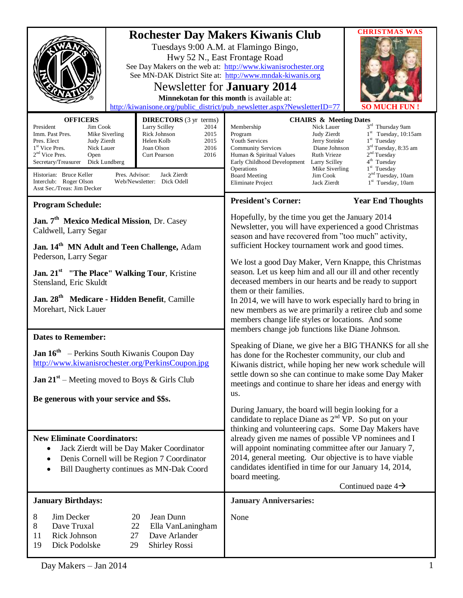|                                                                                                                                                                                                                                                                                                                                                                                                                                                                                                                                                       | <b>CHRISTMAS WAS</b><br><b>Rochester Day Makers Kiwanis Club</b><br>Tuesdays 9:00 A.M. at Flamingo Bingo,<br>Hwy 52 N., East Frontage Road<br>See Day Makers on the web at: http://www.kiwanisrochester.org<br>See MN-DAK District Site at: http://www.mndak-kiwanis.org<br>Newsletter for <b>January</b> 2014<br>Minnekotan for this month is available at:<br>http://kiwanisone.org/public_district/pub_newsletter.aspx?NewsletterID=77<br><b>SO MUCH FUN</b>                                                                                                                                                                       |
|-------------------------------------------------------------------------------------------------------------------------------------------------------------------------------------------------------------------------------------------------------------------------------------------------------------------------------------------------------------------------------------------------------------------------------------------------------------------------------------------------------------------------------------------------------|---------------------------------------------------------------------------------------------------------------------------------------------------------------------------------------------------------------------------------------------------------------------------------------------------------------------------------------------------------------------------------------------------------------------------------------------------------------------------------------------------------------------------------------------------------------------------------------------------------------------------------------|
| <b>OFFICERS</b><br><b>DIRECTORS</b> (3 yr terms)<br>Larry Scilley<br>President<br>Jim Cook<br>2014<br>Rick Johnson<br>Mike Siverling<br>2015<br>Imm. Past Pres.<br>Pres. Elect<br>Judy Zierdt<br>Helen Kolb<br>2015<br>1 <sup>st</sup> Vice Pres.<br>Nick Lauer<br>Joan Olson<br>2016<br>2 <sup>nd</sup> Vice Pres.<br>2016<br>Open<br><b>Curt Pearson</b><br>Secretary/Treasurer<br>Dick Lundberg<br>Historian: Bruce Keller<br>Pres. Advisor:<br>Jack Zierdt<br>Interclub: Roger Olson<br>Web/Newsletter: Dick Odell<br>Asst Sec./Treas: Jim Decker | <b>CHAIRS &amp; Meeting Dates</b><br>3rd Thursday 9am<br>Nick Lauer<br>Membership<br>$1st$ Tuesday, 10:15am<br>Judy Zierdt<br>Program<br>$1st$ Tuesday<br><b>Youth Services</b><br>Jerry Steinke<br>3 <sup>rd</sup> Tuesday, 8:35 am<br><b>Community Services</b><br>Diane Johnson<br>2 <sup>nd</sup> Tuesday<br><b>Ruth Vrieze</b><br>Human & Spiritual Values<br>4 <sup>th</sup> Tuesday<br>Early Childhood Development<br>Larry Scilley<br>$1st$ Tuesday<br>Mike Siverling<br>Operations<br>2 <sup>nd</sup> Tuesday, 10am<br><b>Board Meeting</b><br>Jim Cook<br>1 <sup>st</sup> Tuesday, 10am<br>Eliminate Project<br>Jack Zierdt |
| <b>Program Schedule:</b><br>Jan. 7 <sup>th</sup> Mexico Medical Mission, Dr. Casey<br>Caldwell, Larry Segar<br>Jan. 14 <sup>th</sup> MN Adult and Teen Challenge, Adam<br>Pederson, Larry Segar<br>Jan. 21 <sup>st</sup> "The Place" Walking Tour, Kristine<br>Stensland, Eric Skuldt                                                                                                                                                                                                                                                                 | <b>President's Corner:</b><br><b>Year End Thoughts</b><br>Hopefully, by the time you get the January 2014<br>Newsletter, you will have experienced a good Christmas<br>season and have recovered from "too much" activity,<br>sufficient Hockey tournament work and good times.<br>We lost a good Day Maker, Vern Knappe, this Christmas<br>season. Let us keep him and all our ill and other recently<br>deceased members in our hearts and be ready to support<br>them or their families.                                                                                                                                           |
| Jan. 28 <sup>th</sup> Medicare - Hidden Benefit, Camille<br>Morehart, Nick Lauer<br><b>Dates to Remember:</b><br>Jan 16 <sup>th</sup> – Perkins South Kiwanis Coupon Day<br>http://www.kiwanisrochester.org/PerkinsCoupon.jpg<br><b>Jan 21<sup>st</sup></b> – Meeting moved to Boys & Girls Club<br>Be generous with your service and \$\$s.                                                                                                                                                                                                          | In 2014, we will have to work especially hard to bring in<br>new members as we are primarily a retiree club and some<br>members change life styles or locations. And some<br>members change job functions like Diane Johnson.<br>Speaking of Diane, we give her a BIG THANKS for all she<br>has done for the Rochester community, our club and<br>Kiwanis district, while hoping her new work schedule will<br>settle down so she can continue to make some Day Maker<br>meetings and continue to share her ideas and energy with<br>us.<br>During January, the board will begin looking for a                                        |
| <b>New Eliminate Coordinators:</b><br>Jack Zierdt will be Day Maker Coordinator<br>Denis Cornell will be Region 7 Coordinator<br>Bill Daugherty continues as MN-Dak Coord<br><b>January Birthdays:</b>                                                                                                                                                                                                                                                                                                                                                | candidate to replace Diane as $2nd VP$ . So put on your<br>thinking and volunteering caps. Some Day Makers have<br>already given me names of possible VP nominees and I<br>will appoint nominating committee after our January 7,<br>2014, general meeting. Our objective is to have viable<br>candidates identified in time for our January 14, 2014,<br>board meeting.<br>Continued page $4\rightarrow$<br><b>January Anniversaries:</b>                                                                                                                                                                                            |
| 8<br>Jim Decker<br>20<br>Jean Dunn<br>8<br>Dave Truxal<br>22<br>Ella VanLaningham<br>Rick Johnson<br>27<br>11<br>Dave Arlander<br>19<br>Dick Podolske<br>29<br><b>Shirley Rossi</b>                                                                                                                                                                                                                                                                                                                                                                   | None                                                                                                                                                                                                                                                                                                                                                                                                                                                                                                                                                                                                                                  |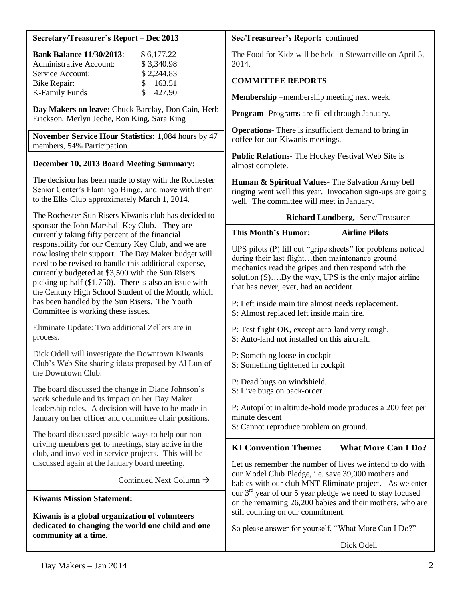### **Secretary/Treasurer's Report – Dec 2013**

| <b>Bank Balance 11/30/2013:</b> | \$6,177.22              |
|---------------------------------|-------------------------|
| <b>Administrative Account:</b>  | \$3,340.98              |
| Service Account:                | \$2,244.83              |
| Bike Repair:                    | \$163.51                |
| K-Family Funds                  | 427.90<br>$\mathcal{S}$ |

**Day Makers on leave:** Chuck Barclay, Don Cain, Herb Erickson, Merlyn Jeche, Ron King, Sara King

**November Service Hour Statistics:** 1,084 hours by 47 members, 54% Participation.

### **December 10, 2013 Board Meeting Summary:**

The decision has been made to stay with the Rochester Senior Center's Flamingo Bingo, and move with them to the Elks Club approximately March 1, 2014.

The Rochester Sun Risers Kiwanis club has decided to sponsor the John Marshall Key Club. They are currently taking fifty percent of the financial responsibility for our Century Key Club, and we are now losing their support. The Day Maker budget will need to be revised to handle this additional expense, currently budgeted at \$3,500 with the Sun Risers picking up half (\$1,750). There is also an issue with the Century High School Student of the Month, which has been handled by the Sun Risers. The Youth Committee is working these issues.

Eliminate Update: Two additional Zellers are in process.

Dick Odell will investigate the Downtown Kiwanis Club's Web Site sharing ideas proposed by Al Lun of the Downtown Club.

The board discussed the change in Diane Johnson's work schedule and its impact on her Day Maker leadership roles. A decision will have to be made in January on her officer and committee chair positions.

The board discussed possible ways to help our nondriving members get to meetings, stay active in the club, and involved in service projects. This will be discussed again at the January board meeting.

Continued Next Column  $\rightarrow$ 

**Kiwanis Mission Statement:**

**Kiwanis is a global organization of volunteers dedicated to changing the world one child and one community at a time.**

#### **Sec/Treasureer's Report:** continued

The Food for Kidz will be held in Stewartville on April 5, 2014.

## **COMMITTEE REPORTS**

**Membership –**membership meeting next week.

**Program-** Programs are filled through January.

**Operations-** There is insufficient demand to bring in coffee for our Kiwanis meetings.

**Public Relations-** The Hockey Festival Web Site is almost complete.

**Human & Spiritual Values-** The Salvation Army bell ringing went well this year. Invocation sign-ups are going well. The committee will meet in January.

### **Richard Lundberg,** Secy/Treasurer

### **This Month's Humor: Airline Pilots**

UPS pilots (P) fill out "gripe sheets" for problems noticed during their last flight...then maintenance ground mechanics read the gripes and then respond with the solution  $(S)$ …. By the way, UPS is the only major airline that has never, ever, had an accident.

P: Left inside main tire almost needs replacement. S: Almost replaced left inside main tire.

- P: Test flight OK, except auto-land very rough.
- S: Auto-land not installed on this aircraft.
- P: Something loose in cockpit
- S: Something tightened in cockpit
- P: Dead bugs on windshield.
- S: Live bugs on back-order.

P: Autopilot in altitude-hold mode produces a 200 feet per minute descent

S: Cannot reproduce problem on ground.

## **KI Convention Theme:** What More Can I Do?

Let us remember the number of lives we intend to do with our Model Club Pledge, i.e. save 39,000 mothers and babies with our club MNT Eliminate project. As we enter our 3rd year of our 5 year pledge we need to stay focused on the remaining 26,200 babies and their mothers, who are still counting on our commitment.

So please answer for yourself, "What More Can I Do?"

Dick Odell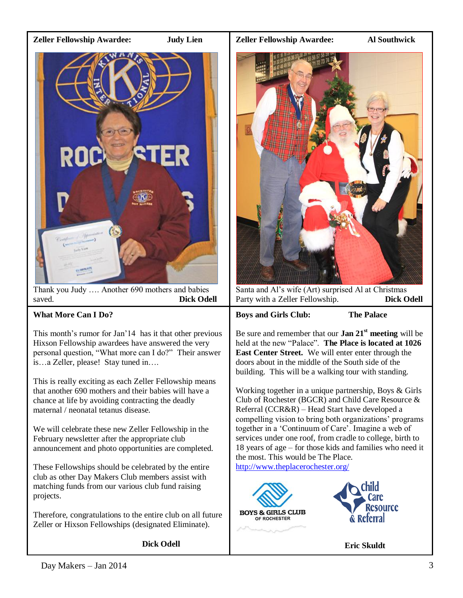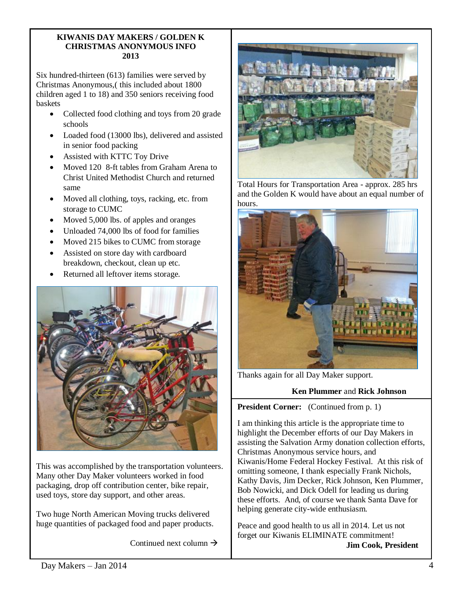#### **KIWANIS DAY MAKERS / GOLDEN K CHRISTMAS ANONYMOUS INFO 2013**

Six hundred-thirteen (613) families were served by Christmas Anonymous,( this included about 1800 children aged 1 to 18) and 350 seniors receiving food baskets

- Collected food clothing and toys from 20 grade schools
- Loaded food (13000 lbs), delivered and assisted in senior food packing
- Assisted with KTTC Toy Drive
- Moved 120 8-ft tables from Graham Arena to Christ United Methodist Church and returned same
- Moved all clothing, toys, racking, etc. from storage to CUMC
- Moved 5,000 lbs. of apples and oranges
- Unloaded 74,000 lbs of food for families
- Moved 215 bikes to CUMC from storage
- Assisted on store day with cardboard breakdown, checkout, clean up etc.
- Returned all leftover items storage.



This was accomplished by the transportation volunteers. Many other Day Maker volunteers worked in food packaging, drop off contribution center, bike repair, used toys, store day support, and other areas.

Two huge North American Moving trucks delivered huge quantities of packaged food and paper products.

Continued next column  $\rightarrow$ 



Total Hours for Transportation Area - approx. 285 hrs and the Golden K would have about an equal number of hours.



Thanks again for all Day Maker support.

## **Ken Plummer** and **Rick Johnson**

**President Corner:** (Continued from p. 1)

I am thinking this article is the appropriate time to highlight the December efforts of our Day Makers in assisting the Salvation Army donation collection efforts, Christmas Anonymous service hours, and Kiwanis/Home Federal Hockey Festival. At this risk of omitting someone, I thank especially Frank Nichols, Kathy Davis, Jim Decker, Rick Johnson, Ken Plummer, Bob Nowicki, and Dick Odell for leading us during these efforts. And, of course we thank Santa Dave for helping generate city-wide enthusiasm.

Peace and good health to us all in 2014. Let us not forget our Kiwanis ELIMINATE commitment! **Jim Cook, President**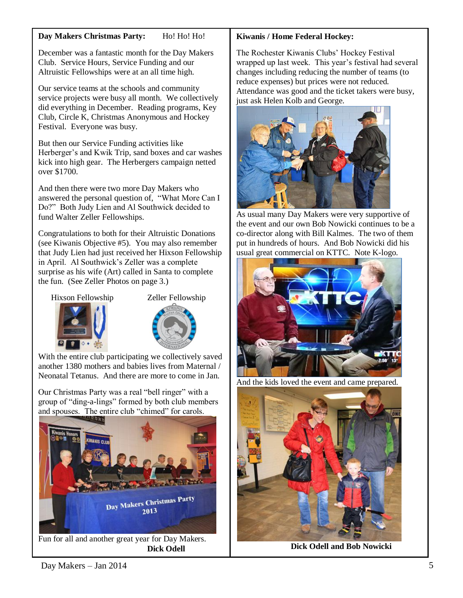### **Day Makers Christmas Party:** Ho! Ho! Ho!

December was a fantastic month for the Day Makers Club. Service Hours, Service Funding and our Altruistic Fellowships were at an all time high.

Our service teams at the schools and community service projects were busy all month. We collectively did everything in December. Reading programs, Key Club, Circle K, Christmas Anonymous and Hockey Festival. Everyone was busy.

But then our Service Funding activities like Herberger's and Kwik Trip, sand boxes and car washes kick into high gear. The Herbergers campaign netted over \$1700.

And then there were two more Day Makers who answered the personal question of, "What More Can I Do?" Both Judy Lien and Al Southwick decided to fund Walter Zeller Fellowships.

Congratulations to both for their Altruistic Donations (see Kiwanis Objective #5). You may also remember that Judy Lien had just received her Hixson Fellowship in April. Al Southwick's Zeller was a complete surprise as his wife (Art) called in Santa to complete the fun. (See Zeller Photos on page 3.)

Hixson Fellowship Zeller Fellowship





With the entire club participating we collectively saved another 1380 mothers and babies lives from Maternal / Neonatal Tetanus. And there are more to come in Jan.

Our Christmas Party was a real "bell ringer" with a group of "ding-a-lings" formed by both club members and spouses. The entire club "chimed" for carols.



**Dick Odell**

### **Kiwanis / Home Federal Hockey:**

The Rochester Kiwanis Clubs' Hockey Festival wrapped up last week. This year's festival had several changes including reducing the number of teams (to reduce expenses) but prices were not reduced. Attendance was good and the ticket takers were busy, just ask Helen Kolb and George.



As usual many Day Makers were very supportive of the event and our own Bob Nowicki continues to be a co-director along with Bill Kalmes. The two of them put in hundreds of hours. And Bob Nowicki did his usual great commercial on KTTC. Note K-logo.



And the kids loved the event and came prepared.



**Dick Odell and Bob Nowicki**